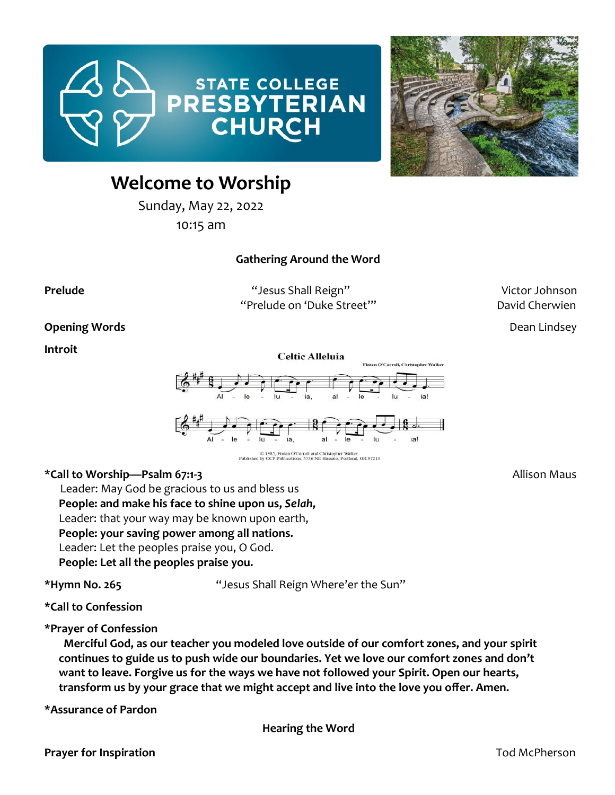



# **Welcome to Worship**

Sunday, May 22, 2022

10:15 am

#### **Gathering Around the Word**

**Prelude** The Community of the Community of the Community Shall Reign" Network and Microson Victor Johnson "Prelude on 'Duke Street"" David Cherwien

**Opening Words Dean Lindsey** 

**Introit** 



C 1985, Fintan O'Carroll and Christopher Walker.<br>Published by OCP Publications, 5536 NE Hassalo, Portland, OR 97213

#### **\*Call to Worship—Psalm 67:1-3** Allison Maus

Leader: May God be gracious to us and bless us **People: and make his face to shine upon us,** *Selah,* Leader: that your way may be known upon earth, **People: your saving power among all nations.** Leader: Let the peoples praise you, O God. **People: Let all the peoples praise you.** 

**\*Hymn No. 265** "Jesus Shall Reign Where'er the Sun"

**\*Call to Confession** 

**\*Prayer of Confession** 

 **Merciful God, as our teacher you modeled love outside of our comfort zones, and your spirit continues to guide us to push wide our boundaries. Yet we love our comfort zones and don't want to leave. Forgive us for the ways we have not followed your Spirit. Open our hearts, transform us by your grace that we might accept and live into the love you offer. Amen.**

**\*Assurance of Pardon** 

**Hearing the Word**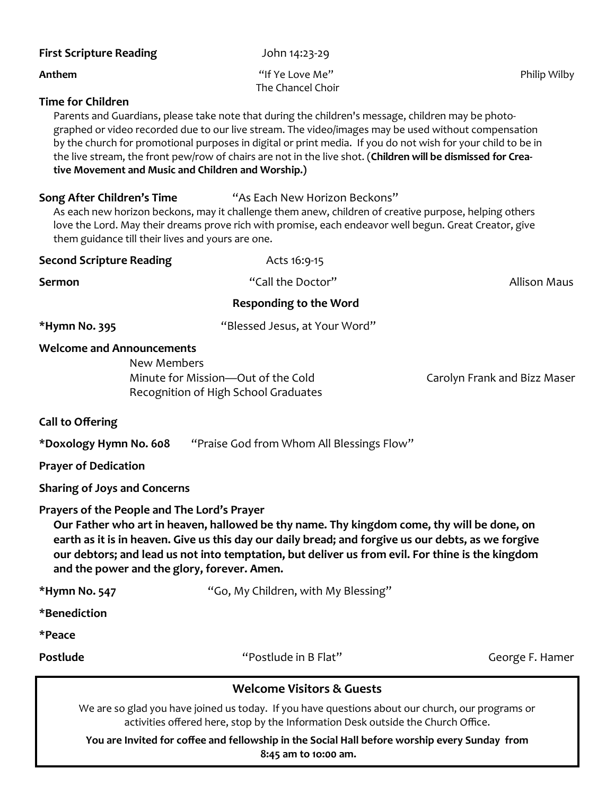| <b>First Scripture Reading</b>                                                                                                                                                                                                                                                                                                                                                                                                                                                                                              | John 14:23-29                                                              |                              |
|-----------------------------------------------------------------------------------------------------------------------------------------------------------------------------------------------------------------------------------------------------------------------------------------------------------------------------------------------------------------------------------------------------------------------------------------------------------------------------------------------------------------------------|----------------------------------------------------------------------------|------------------------------|
| Anthem                                                                                                                                                                                                                                                                                                                                                                                                                                                                                                                      | "If Ye Love Me"<br>The Chancel Choir                                       | Philip Wilby                 |
| <b>Time for Children</b><br>Parents and Guardians, please take note that during the children's message, children may be photo-<br>graphed or video recorded due to our live stream. The video/images may be used without compensation<br>by the church for promotional purposes in digital or print media. If you do not wish for your child to be in<br>the live stream, the front pew/row of chairs are not in the live shot. (Children will be dismissed for Crea-<br>tive Movement and Music and Children and Worship.) |                                                                            |                              |
| "As Each New Horizon Beckons"<br>Song After Children's Time<br>As each new horizon beckons, may it challenge them anew, children of creative purpose, helping others<br>love the Lord. May their dreams prove rich with promise, each endeavor well begun. Great Creator, give<br>them guidance till their lives and yours are one.                                                                                                                                                                                         |                                                                            |                              |
| <b>Second Scripture Reading</b>                                                                                                                                                                                                                                                                                                                                                                                                                                                                                             | Acts 16:9-15                                                               |                              |
| <b>Sermon</b>                                                                                                                                                                                                                                                                                                                                                                                                                                                                                                               | "Call the Doctor"                                                          | <b>Allison Maus</b>          |
| <b>Responding to the Word</b>                                                                                                                                                                                                                                                                                                                                                                                                                                                                                               |                                                                            |                              |
| *Hymn No. 395                                                                                                                                                                                                                                                                                                                                                                                                                                                                                                               | "Blessed Jesus, at Your Word"                                              |                              |
| <b>Welcome and Announcements</b><br>New Members                                                                                                                                                                                                                                                                                                                                                                                                                                                                             | Minute for Mission-Out of the Cold<br>Recognition of High School Graduates | Carolyn Frank and Bizz Maser |
| <b>Call to Offering</b>                                                                                                                                                                                                                                                                                                                                                                                                                                                                                                     |                                                                            |                              |
| *Doxology Hymn No. 608<br>"Praise God from Whom All Blessings Flow"                                                                                                                                                                                                                                                                                                                                                                                                                                                         |                                                                            |                              |
| <b>Prayer of Dedication</b>                                                                                                                                                                                                                                                                                                                                                                                                                                                                                                 |                                                                            |                              |
| <b>Sharing of Joys and Concerns</b>                                                                                                                                                                                                                                                                                                                                                                                                                                                                                         |                                                                            |                              |
| Prayers of the People and The Lord's Prayer<br>Our Father who art in heaven, hallowed be thy name. Thy kingdom come, thy will be done, on<br>earth as it is in heaven. Give us this day our daily bread; and forgive us our debts, as we forgive<br>our debtors; and lead us not into temptation, but deliver us from evil. For thine is the kingdom<br>and the power and the glory, forever. Amen.                                                                                                                         |                                                                            |                              |
| *Hymn No. 547                                                                                                                                                                                                                                                                                                                                                                                                                                                                                                               | "Go, My Children, with My Blessing"                                        |                              |
| *Benediction                                                                                                                                                                                                                                                                                                                                                                                                                                                                                                                |                                                                            |                              |
| *Peace                                                                                                                                                                                                                                                                                                                                                                                                                                                                                                                      |                                                                            |                              |
| Postlude                                                                                                                                                                                                                                                                                                                                                                                                                                                                                                                    | "Postlude in B Flat"                                                       | George F. Hamer              |
| <b>Welcome Visitors &amp; Guests</b>                                                                                                                                                                                                                                                                                                                                                                                                                                                                                        |                                                                            |                              |
| We are so glad you have joined us today. If you have questions about our church, our programs or<br>activities offered here, stop by the Information Desk outside the Church Office.                                                                                                                                                                                                                                                                                                                                        |                                                                            |                              |

**You are Invited for coffee and fellowship in the Social Hall before worship every Sunday from 8:45 am to 1o:00 am.**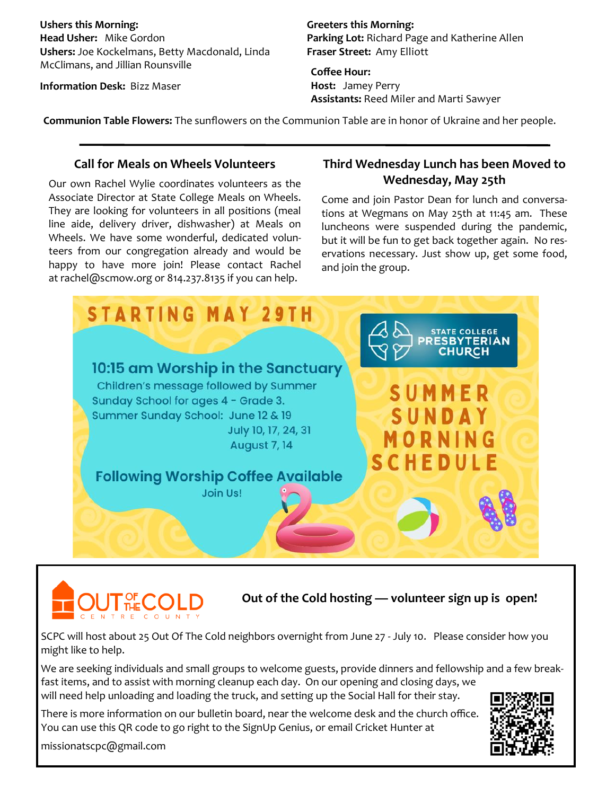**Ushers this Morning: Head Usher:** Mike Gordon **Ushers:** Joe Kockelmans, Betty Macdonald, Linda McClimans, and Jillian Rounsville

**Information Desk:** Bizz Maser

**Greeters this Morning: Parking Lot:** Richard Page and Katherine Allen **Fraser Street:** Amy Elliott

**Coffee Hour: Host:** Jamey Perry **Assistants:** Reed Miler and Marti Sawyer

**Communion Table Flowers:** The sunflowers on the Communion Table are in honor of Ukraine and her people.

#### **Call for Meals on Wheels Volunteers**

Our own Rachel Wylie coordinates volunteers as the Associate Director at State College Meals on Wheels. They are looking for volunteers in all positions (meal line aide, delivery driver, dishwasher) at Meals on Wheels. We have some wonderful, dedicated volunteers from our congregation already and would be happy to have more join! Please contact Rachel at rachel@scmow.org or 814.237.8135 if you can help.

### **Third Wednesday Lunch has been Moved to Wednesday, May 25th**

Come and join Pastor Dean for lunch and conversations at Wegmans on May 25th at 11:45 am. These luncheons were suspended during the pandemic, but it will be fun to get back together again. No reservations necessary. Just show up, get some food, and join the group.





**Out of the Cold hosting — volunteer sign up is open!**

SCPC will host about 25 Out Of The Cold neighbors overnight from June 27 - July 10. Please consider how you might like to help.

We are seeking individuals and small groups to welcome guests, provide dinners and fellowship and a few breakfast items, and to assist with morning cleanup each day. On our opening and closing days, we will need help unloading and loading the truck, and setting up the Social Hall for their stay.

There is more information on our bulletin board, near the welcome desk and the church office. You can use this QR code to go right to the SignUp Genius, or email Cricket Hunter at



missionatscpc@gmail.com